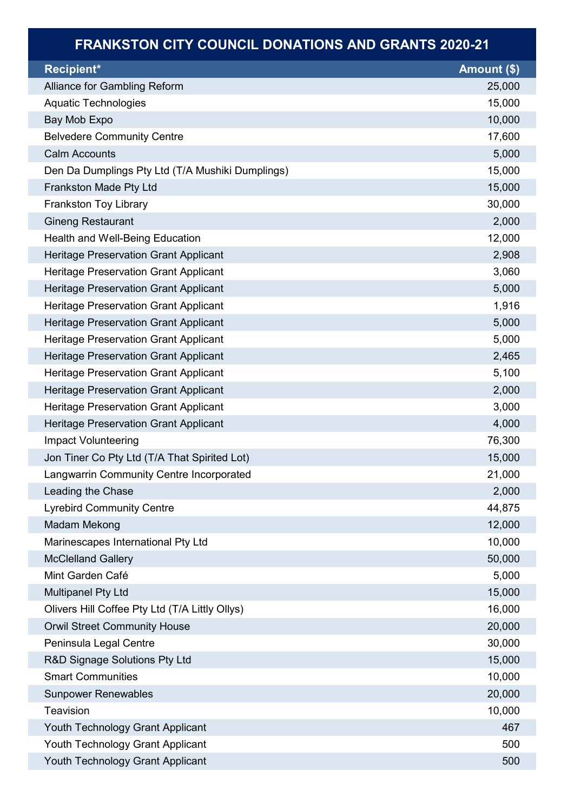## FRANKSTON CITY COUNCIL DONATIONS AND GRANTS 2020-21

| Recipient*                                       | <b>Amount <math>(\\$)</math></b> |
|--------------------------------------------------|----------------------------------|
| Alliance for Gambling Reform                     | 25,000                           |
| Aquatic Technologies                             | 15,000                           |
| Bay Mob Expo                                     | 10,000                           |
| <b>Belvedere Community Centre</b>                | 17,600                           |
| <b>Calm Accounts</b>                             | 5,000                            |
| Den Da Dumplings Pty Ltd (T/A Mushiki Dumplings) | 15,000                           |
| Frankston Made Pty Ltd                           | 15,000                           |
| <b>Frankston Toy Library</b>                     | 30,000                           |
| <b>Gineng Restaurant</b>                         | 2,000                            |
| Health and Well-Being Education                  | 12,000                           |
| <b>Heritage Preservation Grant Applicant</b>     | 2,908                            |
| Heritage Preservation Grant Applicant            | 3,060                            |
| <b>Heritage Preservation Grant Applicant</b>     | 5,000                            |
| Heritage Preservation Grant Applicant            | 1,916                            |
| <b>Heritage Preservation Grant Applicant</b>     | 5,000                            |
| Heritage Preservation Grant Applicant            | 5,000                            |
| <b>Heritage Preservation Grant Applicant</b>     | 2,465                            |
| <b>Heritage Preservation Grant Applicant</b>     | 5,100                            |
| <b>Heritage Preservation Grant Applicant</b>     | 2,000                            |
| <b>Heritage Preservation Grant Applicant</b>     | 3,000                            |
| <b>Heritage Preservation Grant Applicant</b>     | 4,000                            |
| <b>Impact Volunteering</b>                       | 76,300                           |
| Jon Tiner Co Pty Ltd (T/A That Spirited Lot)     | 15,000                           |
| Langwarrin Community Centre Incorporated         | 21,000                           |
| Leading the Chase                                | 2,000                            |
| <b>Lyrebird Community Centre</b>                 | 44,875                           |
| Madam Mekong                                     | 12,000                           |
| Marinescapes International Pty Ltd               | 10,000                           |
| <b>McClelland Gallery</b>                        | 50,000                           |
| Mint Garden Café                                 | 5,000                            |
| <b>Multipanel Pty Ltd</b>                        | 15,000                           |
| Olivers Hill Coffee Pty Ltd (T/A Littly Ollys)   | 16,000                           |
| <b>Orwil Street Community House</b>              | 20,000                           |
| Peninsula Legal Centre                           | 30,000                           |
| R&D Signage Solutions Pty Ltd                    | 15,000                           |
| <b>Smart Communities</b>                         | 10,000                           |
| <b>Sunpower Renewables</b>                       | 20,000                           |
| <b>Teavision</b>                                 | 10,000                           |
| Youth Technology Grant Applicant                 | 467                              |
| Youth Technology Grant Applicant                 | 500                              |
| Youth Technology Grant Applicant                 | 500                              |